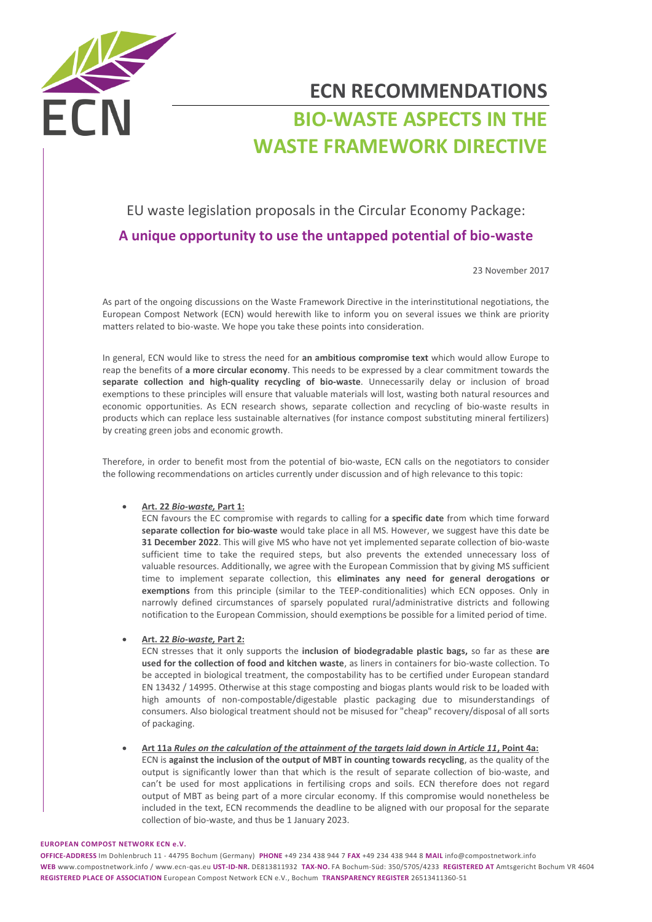

# **ECN RECOMMENDATIONS BIO-WASTE ASPECTS IN THE WASTE FRAMEWORK DIRECTIVE**

# EU waste legislation proposals in the Circular Economy Package: **A unique opportunity to use the untapped potential of bio-waste**

23 November 2017

As part of the ongoing discussions on the Waste Framework Directive in the interinstitutional negotiations, the European Compost Network (ECN) would herewith like to inform you on several issues we think are priority matters related to bio-waste. We hope you take these points into consideration.

In general, ECN would like to stress the need for **an ambitious compromise text** which would allow Europe to reap the benefits of **a more circular economy**. This needs to be expressed by a clear commitment towards the **separate collection and high-quality recycling of bio-waste**. Unnecessarily delay or inclusion of broad exemptions to these principles will ensure that valuable materials will lost, wasting both natural resources and economic opportunities. As ECN research shows, separate collection and recycling of bio-waste results in products which can replace less sustainable alternatives (for instance compost substituting mineral fertilizers) by creating green jobs and economic growth.

Therefore, in order to benefit most from the potential of bio-waste, ECN calls on the negotiators to consider the following recommendations on articles currently under discussion and of high relevance to this topic:

## **Art. 22** *Bio-waste,* **Part 1:**

ECN favours the EC compromise with regards to calling for **a specific date** from which time forward **separate collection for bio-waste** would take place in all MS. However, we suggest have this date be **31 December 2022**. This will give MS who have not yet implemented separate collection of bio-waste sufficient time to take the required steps, but also prevents the extended unnecessary loss of valuable resources. Additionally, we agree with the European Commission that by giving MS sufficient time to implement separate collection, this **eliminates any need for general derogations or exemptions** from this principle (similar to the TEEP-conditionalities) which ECN opposes. Only in narrowly defined circumstances of sparsely populated rural/administrative districts and following notification to the European Commission, should exemptions be possible for a limited period of time.

## **Art. 22** *Bio-waste,* **Part 2:**

ECN stresses that it only supports the **inclusion of biodegradable plastic bags,** so far as these **are used for the collection of food and kitchen waste**, as liners in containers for bio-waste collection. To be accepted in biological treatment, the compostability has to be certified under European standard EN 13432 / 14995. Otherwise at this stage composting and biogas plants would risk to be loaded with high amounts of non-compostable/digestable plastic packaging due to misunderstandings of consumers. Also biological treatment should not be misused for "cheap" recovery/disposal of all sorts of packaging.

 **Art 11a** *Rules on the calculation of the attainment of the targets laid down in Article 11***, Point 4a:**  ECN is **against the inclusion of the output of MBT in counting towards recycling**, as the quality of the output is significantly lower than that which is the result of separate collection of bio-waste, and can't be used for most applications in fertilising crops and soils. ECN therefore does not regard output of MBT as being part of a more circular economy. If this compromise would nonetheless be included in the text, ECN recommends the deadline to be aligned with our proposal for the separate collection of bio-waste, and thus be 1 January 2023.

#### **EUROPEAN COMPOST NETWORK ECN e.V.**

**OFFICE-ADDRESS** Im Dohlenbruch 11 - 44795 Bochum (Germany) **PHONE** +49 234 438 944 7 **FAX** +49 234 438 944 8 **MAIL** info@compostnetwork.info **WEB** www.compostnetwork.info / www.ecn-qas.eu **UST-ID-NR.** DE813811932 **TAX-NO.** FA Bochum-Süd: 350/5705/4233 **REGISTERED AT** Amtsgericht Bochum VR 4604 **REGISTERED PLACE OF ASSOCIATION** European Compost Network ECN e.V., Bochum **TRANSPARENCY REGISTER** 26513411360-51